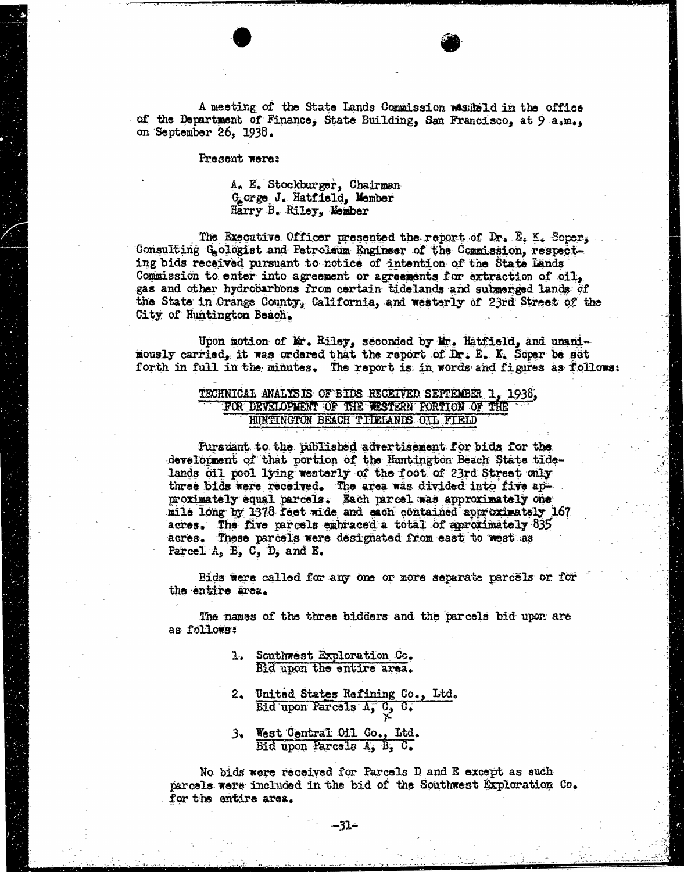A meeting of the State Lands Commission wasiheld in the office of the Department of Finance, State Building, San Francisco, at 9 a.m., on September 26, 1938.

Present were:

### A. E. Stockburger, Chairman Gorge J. Hatfield, Member Harry B. Riley, Member

The Executive Officer presented the report of Dr. E. K. Soper, Consulting Gologist and Petroleum Engineer of the Commission, respecting bids received pursuant to notice of intention of the State Lands Commission to enter into agreement or agreements for extraction of oil, gas and other hydrocarbons from certain tidelands and submerged lands of the State in Orange County, California, and westerly of 23rd Street of the City of Huntington Beach.

Upon motion of Mr. Riley, seconded by Mr. Hatfield, and unani-<br>mously carried, it was ordered that the report of Dr. E. K. Soper be set forth in full in the minutes. The report is in words and figures as follows:

# TECHNICAL ANALYSIS OF BIDS RECEIVED SEPTEMBER 1, 1938, FOR DEVELOPMENT OF THE WESTERN PORTION OF THE HUNTINGTON BEACH TILELANDS OIL FIELD

Pursuant to the published advertisement for bids for the development of that portion of the Huntington Beach State tidelands oil pool lying westerly of the foot of 23rd Street only three bids were received. The area was divided into five approximately equal parcels. Each parcel was approximately one mile long by 1378 feet wide and sach contained approximately 167 acres. The five parcels embraced a total of aproximately 835 acres. These parcels were designated from east to west as Parcel  $A$ ,  $B$ ,  $C$ ,  $D$ , and  $E$ .

Bids were called for any one or more separate parcels or for the entire area.

The names of the three bidders and the parcels bid upon are as follows:

- 1. Southwest Exploration Co. Bid upon the entire area.
- 2. United States Refining Co., Ltd. Bid upon Parcels A, C, C.
- 3. West Central Oil Co., Itd. Bid upon Parcels  $A_j$ ,  $B_j$ ,  $C_j$

No bids were received for Parcels D and E except as such parcels were included in the bid of the Southwest Exploration Co. for the entire area.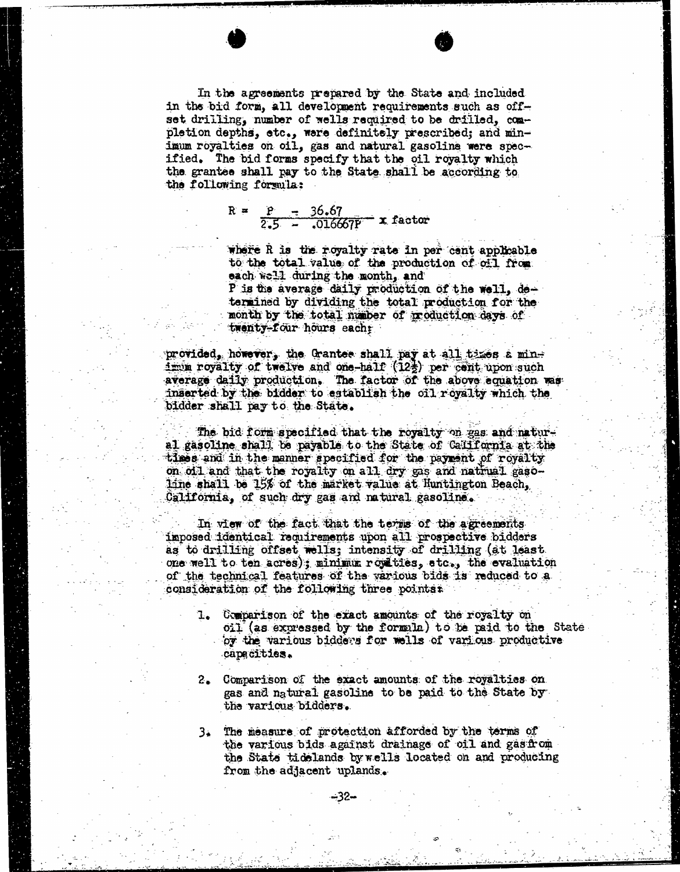In the agreements prepared by the State and included in the bid form, all development requirements such as offset drilling, number of wells required to be drilled, completion depths, etc., ware definitely prescribed; and minimum royalties on oil, gas and natural gasoline were specified. The bid forms specify that the oil royalty which the grantee shall pay to the State shall be according to the following formula:

> $R = P = 36.67$  $2.5 - .016667p - x$  factor

where R is the royalty rate in per cant applicable to the total value of the production of oil from each well during the month, and

P is the average daily production of the well, detemined by dividing the total production for the month by the total maber of production days of twenty-four hours eachr

provided, however, the Grantee shall pay at all times a minimum royalty of twelve and one-half  $(12\frac{1}{2})$  per cent upon such average daily production. The factor of the above equation was inserted by the bidder to establish the oil royalty which the bidder shall pay to the State.

The bid form specified that the royalty on gas and natural gasoline shall be payable to the State of California at the times and in the manner specified for the payment of royalty on oil and that the royalty on all dry gas and natrual gasoline shall be 15% of the market value at Huntington Beach, California, of such dry gas and natural gasoline.

In view of the fact that the terms of the agreements imposed identical requirements upon all prospective bidders as to drilling offset wells; intensity of drilling (at least. one well to ten acres) ; minimi royalties, etc., the evaluation of the technical features of the various bids is reduced to a consideration of the following three pointss

- 1. Comparison of the exact amounts of the royalty on oil ( as expressed by the formila) to be paid to the State by the various bidders for wells of various productive capacities.
- 2. Comparison of the exact amounts of the royalties on gas and natural gasoline to be paid to the State by the various bidders.
- 3. The measure of protection afforded by the terms of the various bids against drainage of oil and gasfrom the Stats tidelands by wells located on and producing from the adjacent uplands.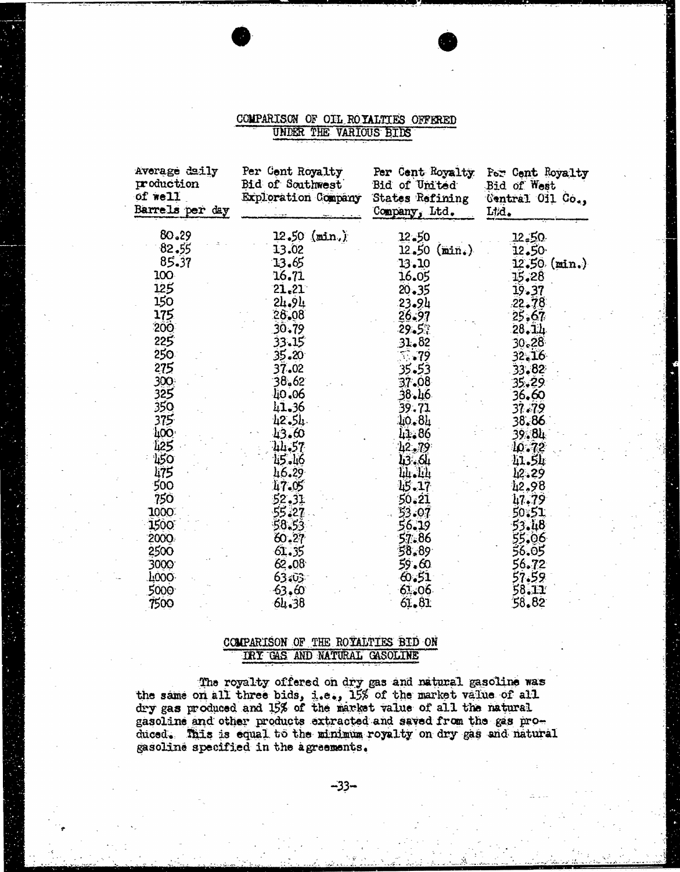# COMPARISON OF OIL ROYALTIES OFFERED UNDER THE VARIOUS BIDS

| Average daily<br>production<br>of well<br>Barrels per day | Per Cent Royalty<br>Bid of Southwest<br>Exploration Company | Per Cent Royalty<br>Bid of United<br>States Refining<br>Company, Ltd. | For Cent Royalty<br>Bid of West<br>Central Oil Co.,<br>L#d. |  |  |
|-----------------------------------------------------------|-------------------------------------------------------------|-----------------------------------------------------------------------|-------------------------------------------------------------|--|--|
| 80.29                                                     | $12.50$ (min.)                                              | 12.50                                                                 | 12.50                                                       |  |  |
| 82.55                                                     | 13.02                                                       | $12,50 \text{ (min.)}$                                                | 12.50                                                       |  |  |
| 85.37                                                     | 13.65                                                       | $13 - 10$                                                             | 12.50 (min.)                                                |  |  |
| 100                                                       | 16.71                                                       | 16.05                                                                 | 15.28                                                       |  |  |
| 125                                                       | 21.21                                                       | $20 - 35$                                                             | 19.37                                                       |  |  |
| 150                                                       | 24.94                                                       | 23.94                                                                 | 22.78                                                       |  |  |
| 175                                                       | 28.08                                                       | 26.97                                                                 | 25.67                                                       |  |  |
| 200                                                       | 30.79                                                       | 29.5%                                                                 | $28 - 14$                                                   |  |  |
| 225                                                       | 33.15                                                       | 31.82                                                                 | 30.28                                                       |  |  |
| 250                                                       | $35 - 20$                                                   | 5.79                                                                  | 32.16                                                       |  |  |
| 275                                                       | 37.02                                                       | 35.53                                                                 | 33.82                                                       |  |  |
| 300                                                       | 38.62                                                       | 37.08                                                                 | 35.29                                                       |  |  |
| 325                                                       | 40.06                                                       | 38.46                                                                 | 36.60                                                       |  |  |
| 350                                                       | 41.36                                                       | 39.71                                                                 | 37.79                                                       |  |  |
| 375                                                       | 42.54                                                       | $10 - 81$                                                             | 38.86                                                       |  |  |
| <b>LOO</b>                                                | 43.60                                                       | 41.86                                                                 | 39.84                                                       |  |  |
| 425                                                       | 44.57                                                       | 42.79                                                                 | 40.72                                                       |  |  |
| 150                                                       | 45.46                                                       | 43.64                                                                 | 41.Sk                                                       |  |  |
| 475                                                       | 46.29                                                       | 44.44                                                                 | 12.29                                                       |  |  |
| 500                                                       | 47.05                                                       | 15.17                                                                 | 42,98                                                       |  |  |
| 750                                                       | 52.31                                                       | $50 - 21$                                                             | 47,79                                                       |  |  |
| 1000                                                      | 55.27                                                       | 53.07                                                                 | 50.51                                                       |  |  |
| 1500                                                      | 58.53                                                       | 56.19                                                                 | 53.48                                                       |  |  |
| 2000                                                      | 60.27                                                       | 57.86                                                                 | 55.06                                                       |  |  |
| 2500                                                      | 61.35                                                       | 58.89                                                                 | 56.05                                                       |  |  |
| 3000                                                      | 62.08                                                       | 59.60                                                                 | 56.72                                                       |  |  |
| F000.                                                     | 63.03                                                       | 6.51                                                                  | 57.59                                                       |  |  |
| 5000                                                      | 63,60                                                       | 61.06                                                                 | 58.11                                                       |  |  |
| 7500                                                      | 64.38                                                       | 61.81                                                                 | 58.82                                                       |  |  |

# COMPARISON OF THE ROYALTIES BID ON TRY GAS AND NATURAL GASOLINE

The royalty offered on dry gas and natural gasoli the same on all three bids, i.e., 15% of the market value of dry gas produced and 15% of the market value of all the natural gasoline and other products extracted and saved from the gas prodiced. This is equal to the minimum royalty on dry gas and natural gasoline specified in the agreements.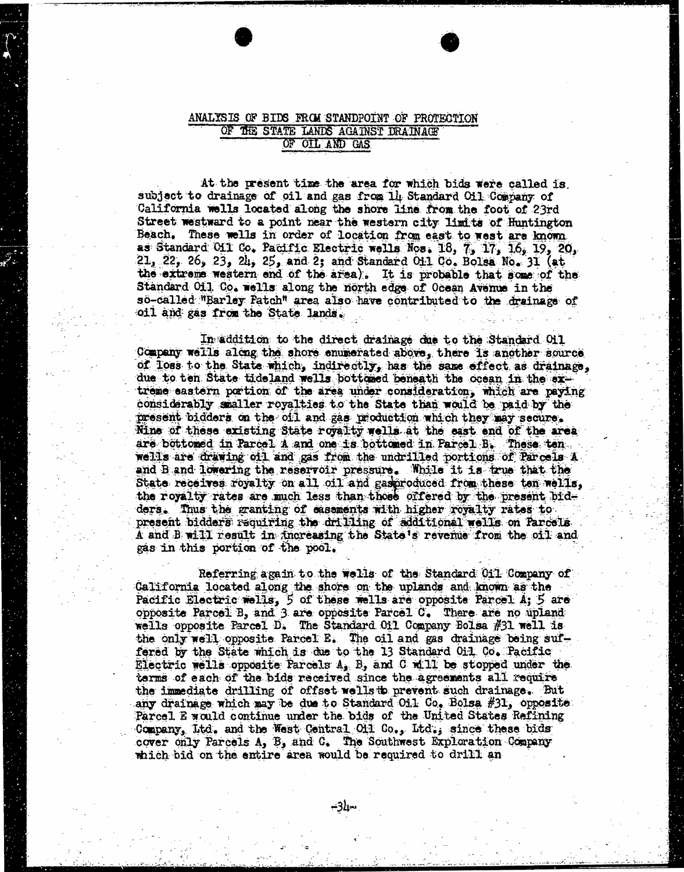# ANALYSIS OF BIDS FROM STANDPOINT OF PROTECTION OF THE STATE LANDS AGAINST DRAINAGE OF OIL AND GAS

At the present time the area for which bids were called is. subject to drainage of oil and gas from 14 Standard Oil Company of California wells located along the shore line from the foot of 23rd Street westward to a point near the western city limits of Huntington Beach. These wells in order of location from east to west are known as Standard Oil Co. Pacific Electric wells Nos. 18, 7, 17, 16, 19, 20,  $21, 22, 26, 23, 24, 25,$  and 2; and Standard Oil Co. Bolsa No. 31 (at the extreme western end of the area). It is probable that some of the Standard Oil Co. wells along the north edge of Ocean Avenue in the so-called "Barley Patch" area also have contributed to the drainage of oil and gas from the State lands.

In addition to the direct drainage due to the Standard Oil Company wells along the shore enumerated above, there is another source of loss to the State which, indirectly, has the same effect. as drainage, due to ten State tideland wells bottomed beneath the ocean in the oftreme eastern portion of the area under consideration, which are paying considerably smaller royalties to the State than would be paid by the present bidders on the oil and gas production which they may secure. Nine of these existing State royalty wells at the east end of the area are bottomed in Parcel A and one is bottomed in Parcel B. These ten wells are drawing oil and gas from the undrilled portions of Parcels A and B and lowering the reservoir pressure. While it is true that the State receives royalty on all oil and gasproduced from these ten wells, the royalty rates are much less than those offered by the present bidders. Thus the granting of easements with higher royalty rates to present bidders requiring the drilling of additional wells on Parcels A and B will result in increasing the State's revenue from the oil and gas in this portion of the pool.

Referring again to the wells of the Standard Oil Company of California located along the shore on the uplands and known as the Pacific Electric wells, 5 of these wells are opposite Parcel A; 5 are opposite Parcel B, and 3 are opposite Parcel C. There are no upland wells opposite Parcel D. The Standard Oil Company Bolsa  $#31$  well is the only well opposite Parcel E. The oil and gas drainage being suffered by the State which is due to the 13 Standard Oil Co. Pacific Electric wells opposite Parcels  $A_j$ , B, and C. mill be stopped under the terms of each of the bids received since the agreements all require the immediate drilling of offset wells to prevent such drainage. But any drainage which may be due to Standard Oil Co, Bolsa #31, opposite: Parcel E would continue under the bids of the United States Refining Company, Ltd. and the West Central Oil Co., Ltd.; since these bids cover only Parcels A, B, and C. The Southwest Exploration Company which bid on the entire area would be required to drill an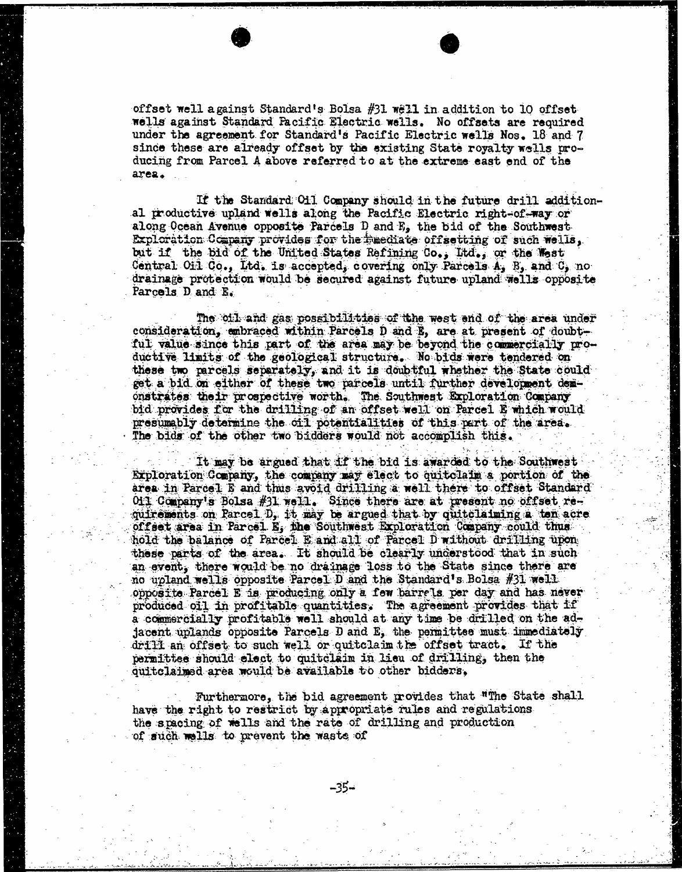offset well against Standard's Bolsa #31 well in addition to 10 offset wells against Standard Pacific Electric wells. No offsets are required under the agreement for Standard's Pacific Electric wells Nos. 18 and 7 since these are already offset by the existing State royalty wells producing from Parcel A above referred to at the extreme east end of the area .

If the Standard Oil Company should in the future drill additional productive upland wells along the Pacific Electric right-of-way or along Ocean Avenue opposite Parcels D and E, the bid of the Southwest Exploration Company provides for the rmediate offsetting of such wells, but if the bid of the United States Refining Co.; Itd., or the West Central Oil Co., Ltd. is accepted, covering only Parcels  $A_i$  B, and C, no drainage protection would be secured against future upland wells opposite Parcels D and B.

The oil and gas possibilities of tthe west end of the area under consideration, embraced within Parcels D and E, are at present of doubtful value since this part of the area may be beyond the commercially productive limits of the geological structure. No bids were tendered on these two parcels separately, and it is doubtful whether the State could get a bid on either of these two parcels until further development demonstrates their prospective worth. The Southwest Exploration Company bid provides for the drilling of an offset well on Parcel E which would presumably determine the oil potentialities of this part of the area. The bids of the other two bidders would not accomplish this.

.It may be argued that if the bid is awarded to the Southwest Exploration Company, the company may elect to quitclaim a portion of the area in Parcel E and thus avoid drilling a well there to offset Standard 011 Company's Bolsa #31 well. Since there are at present no offset requirements on Parcel D, it may be argued that by quitclaiming a ton acre offset area in Parcel E, the Southwest Exploration Company could thus hold the balance of Parcel E and all of Parcel D without drilling upon these parts of the area. It should be clearly understood that in such an event, there would be no drainage loss to the State since there are no upland wells opposite Parcel:D and the Standard's Bolsa #31 well opposite Parcel E is producing only a few barrels per day and has never produced oil in profitable quantities, The agreement provides that if a commercially profitable well should at any time be drilled on the adjacent uplands opposite Parcels D and E, the permittes must immediately drill an offset to such well or quitclaim the offset tract. If the permittee should elect to quitclaim in lieu of drilling, then the quitclaimed area would be available to other bidders,

Furthermore, the bid agreement provides that "The State shall have the right to restrict by appropriate rules and regulations the spacing of wells and the rate of drilling and production of such wells to prevent the waste of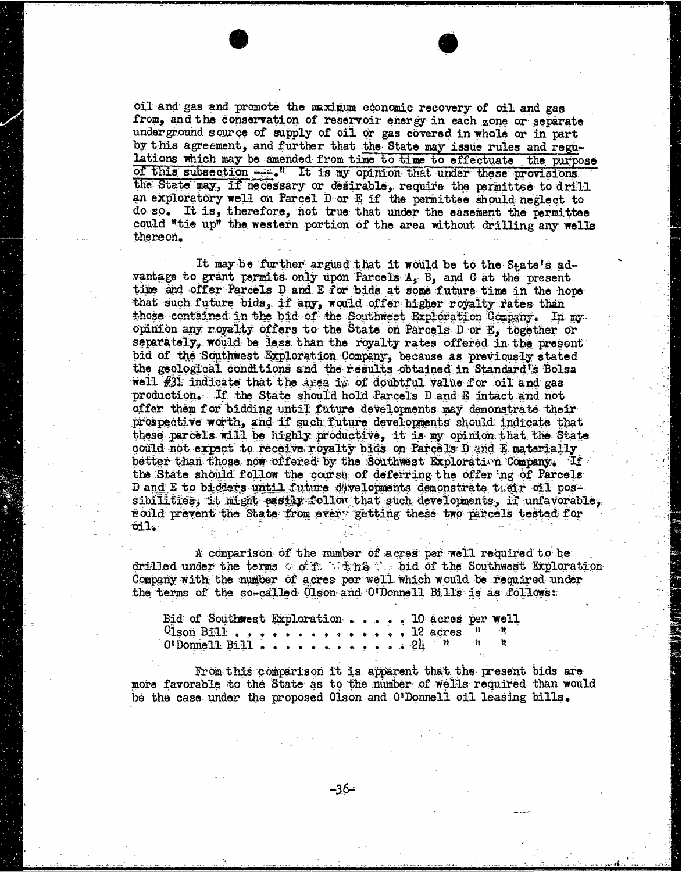oil and gas and promote the maximum economic recovery of oil and gas from, and the conservation of reservoir energy in each zone or separate under ground source of supply of oil or gas covered in whole or in part by this agreement, and further that the State may issue rules and regulations which may be amended from time to time to effectuate the purpose of this subsection  $-$ . It is my opinion that under these provisions the State may, if necessary or desirable, require the permittse to drill an exploratory well on Parcel D or E if the permittee should neglect to do so. It is, therefore, not true that under the easement the permittee could "tie up" the western portion of the area without drilling any wells thereon.

It may be further argued that it would be to the State's ad- vantage to grant permits only upon Parcels A, B, and C at the present time and offer Parcels D and E for bids at some future time in the hope that such future bids, if any, would offer higher royalty rates than those contained in the bid of the Southwest Exploration Company, In my opinion any royalty offers to the State on Parcels D or E, together or separately, would be less than the royalty rates offered in the present bid of the Southwest Exploration Company, because as previously stated the geological conditions and the results obtained in Standard's Bolsa well #31 indicate that the area is of doubtful value for oil and gas production. If the State should hold Parcels D and E intact and not offer them for bidding until future developments may demonstrate their prospective worth, and if such future developments should indicate that these parcels will be highly productive, it is my opinion that the State could not expect to receive royalty bids on Parcels D and E materially better than those now offered by the Southwest Exploration Company. If the State should follow the course of deferring the offering of Parcels D and E to bidders until future divelopments demonstrate their oil possibilities, it might pastly follow that such developments, if unfavorable, could prevent the State from every getting these two parcels tested for oil.

A comparison of the number of acres per well required to be drilled under the terms  $\leq$  of  $\pm$  if its  $\leq$  bid of the Southwest Exploration. Company with the number of acres per well which would be required under the terms of the so-called Olson and O'Donnell Bills is as follows:

| Bid of Southwest Exploration D acres per well |  |  |  |
|-----------------------------------------------|--|--|--|
| $0$ ison Bill 12 acres $\frac{1}{2}$          |  |  |  |
|                                               |  |  |  |
|                                               |  |  |  |

From this comparison it is apparent that the present bids are more favorable to the State as to the number of wells required than would be the case under the proposed Olson and O'Donnell oil leasing bills.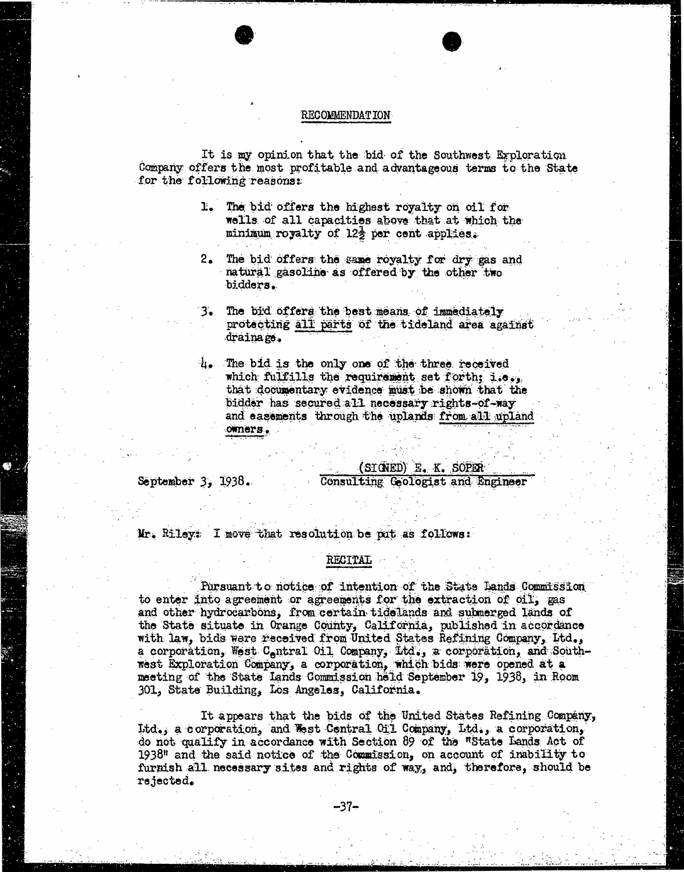#### RECOMMENDATION

It is my opinion that the bid of the Southwest Exploration Company offers the most profitable and advantageous terms to the State for the following reasons:

- 1. The bid offers the highest royalty on oil for wells of all capacities above that at which the minimum royalty of  $12\frac{1}{2}$  per cent applies.
- 2. The bid offers the same royalty for dry gas and natural gasoline as offered by the other two bidders.
- 3. The bid offers the best means of immediately protecting all parts of the tideland area against drainage.
- The bid is the only one of the three received which fulfills the requirement set forth; i.e., that documentary evidence must be shown that the bidder has secured all necessary rights-of-way and easements through the uplands from all upland owners .

(SIGNED) E. K. SOPER

September 3, 1938. Consulting Geologist and Engineer

Mr. Riley: I move that resolution be put as follows:

#### RECITAL

Pursuant to notice of intention of the State Lands Commission to enter into agreement or agreements for the extraction of oil, gas and other hydrocarbons, from certain tidelands and submerged lands of the State situate in Orange County, California, published in accordance with law, bids were received from United States Refining Company, Ltd., a corporation, West Contral Oil Company, Lid., a corporation, and Southwest Exploration Company, a corporation, which bids were opened at meeting of the State Lands Commission held September 19, 1938, in Room 301, State Building, Los Angeles, California.

It appears that the bids of the United States Refining Company, Itd.; a corporation, and West Central Oil Company, Ltd., a corporation, do not qualify in accordance with Section 89 of the "State Lands Act of 1938" and the said notice of the Commission, on account of inability to furnish all necessary sites and rights of way, and, therefore, should be rejected.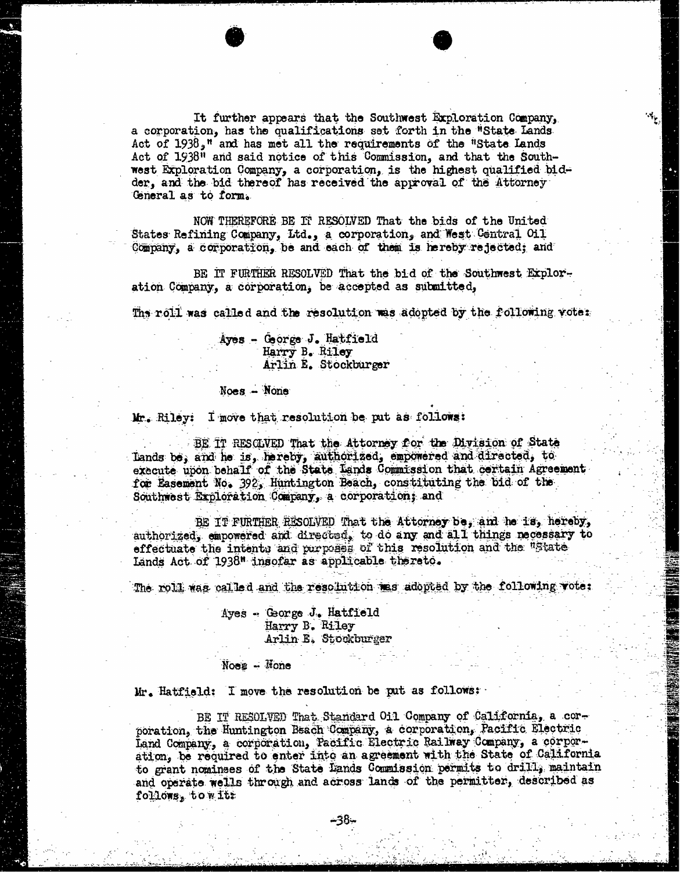It further appears that the Southwest Exploration Company, a corporation, has the qualifications set forth in the "State Lands Act of  $1938<sub>9</sub>$ <sup>n</sup> and has met all the requirements of the "State Lands" Act of 1938" and said notice of this Commission, and that the Southwest Exploration Company, a corporation, is the highest qualified bidder, and the bid thereof has received the approval of the Attorney General as to form.

 $\left|\mathbf{x}_{t}\right|$ 

NOW THEREFORE BE IT RESOLVED That the bids of the United States Refining Company, Ltd., a corporation, and West Central Oil Company, a corporation, be and each of them is hereby rejected; and

BE IT FURTHER RESOLVED That the bid of the Southwest Exploration Company, a corporation, be accepted as submitted,

The roll was called and the resolution was adopted by the following vote:

Ayes - George J. Hatfield Harry B. Riley Arlin E. Stockburger

#### Noes - None

Mr. Riley: I move that resolution be put as follows:

BE IT RESOLVED That the Attorney for the Division of State Lands be; and he is, hereby, authorized, empowered and directed, to execute upon behalf of the State Lands Commission that certain Agreement for Easement No. 392, Huntington Beach, constituting the bid of the Southwest Exploration Company, a corporation; and

BE IT FURTHER RESOLVED That the Attorney be, and he is, hereby, authorized, empowered and directed, to do any and all things necessary to effectuate the intentu and purposes of this resolution and the "State Lands Act of 1938" insofar as applicable thereto.

The roll was called and the resolution was adopted by the following vote;

Ayes - Gorge J. Hatfield Harry B. Riley Arlin E, Stookburger

Noes - Hone

Mr. Hatfield: I move the resolution be put as follows;

BE IT RESOLVED That Standard Oil Company of California, a corporation, the Huntington Beach Company, a corporation, Pacific Electric Land Company, a corporation, Pacific Electric Railway Company, a corporation, be required to enter into an agreement with the State of California to grant nominses of the State Lands Commission permits to drill, maintain and operate wells through and across lands of the permitter, described as follows, towits